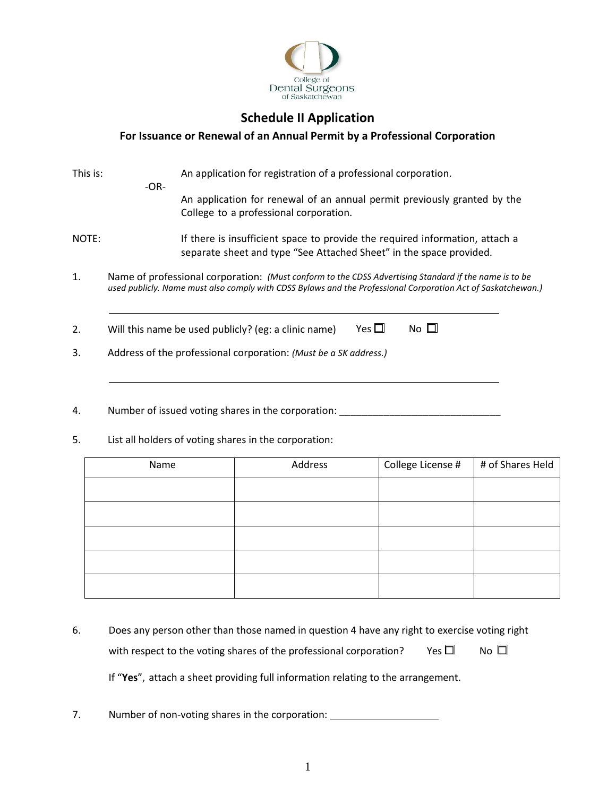

# **Schedule II Application**

## **For Issuance or Renewal of an Annual Permit by a Professional Corporation**

| This is: |        | An application for registration of a professional corporation.                                                                                                                                                        |
|----------|--------|-----------------------------------------------------------------------------------------------------------------------------------------------------------------------------------------------------------------------|
|          | $-OR-$ | An application for renewal of an annual permit previously granted by the<br>College to a professional corporation.                                                                                                    |
| NOTE:    |        | If there is insufficient space to provide the required information, attach a<br>separate sheet and type "See Attached Sheet" in the space provided.                                                                   |
| 1.       |        | Name of professional corporation: (Must conform to the CDSS Advertising Standard if the name is to be<br>used publicly. Name must also comply with CDSS Bylaws and the Professional Corporation Act of Saskatchewan.) |
| 2.       |        | Yes $\Box$<br>No $\Box$<br>Will this name be used publicly? (eg: a clinic name)                                                                                                                                       |
| 3.       |        | Address of the professional corporation: (Must be a SK address.)                                                                                                                                                      |
|          |        |                                                                                                                                                                                                                       |
| 4.       |        | Number of issued voting shares in the corporation:                                                                                                                                                                    |

5. List all holders of voting shares in the corporation:

| Name | Address | College License # | # of Shares Held |
|------|---------|-------------------|------------------|
|      |         |                   |                  |
|      |         |                   |                  |
|      |         |                   |                  |
|      |         |                   |                  |
|      |         |                   |                  |

6. Does any person other than those named in question 4 have any right to exercise voting right with respect to the voting shares of the professional corporation? Yes  $\Box$  No  $\Box$ If "**Yes**", attach a sheet providing full information relating to the arrangement.

7. Number of non-voting shares in the corporation: \_\_\_\_\_\_\_\_\_\_\_\_\_\_\_\_\_\_\_\_\_\_\_\_\_\_\_\_\_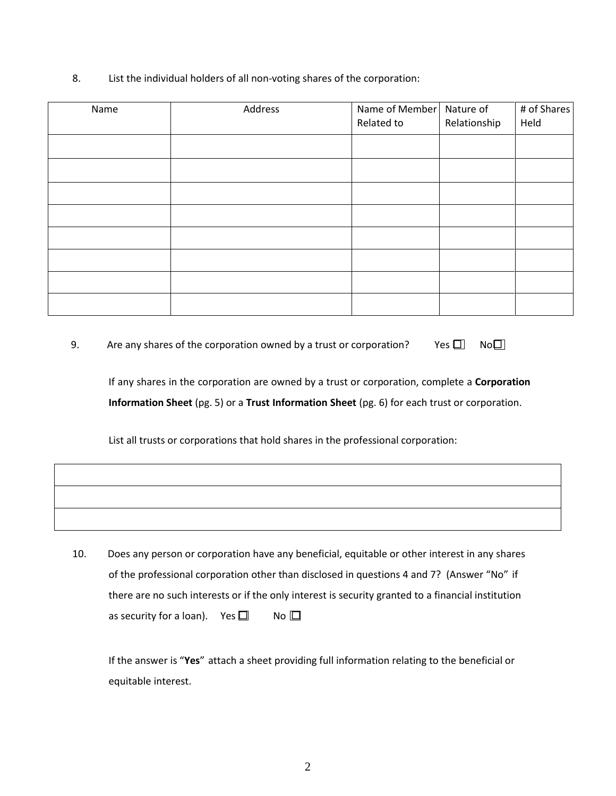8. List the individual holders of all non-voting shares of the corporation:

| Name | Address | Name of Member   Nature of<br>Related to | Relationship | # of Shares<br>Held |
|------|---------|------------------------------------------|--------------|---------------------|
|      |         |                                          |              |                     |
|      |         |                                          |              |                     |
|      |         |                                          |              |                     |
|      |         |                                          |              |                     |
|      |         |                                          |              |                     |
|      |         |                                          |              |                     |
|      |         |                                          |              |                     |
|      |         |                                          |              |                     |

9. Are any shares of the corporation owned by a trust or corporation? Yes  $\Box$  No $\Box$ 

If any shares in the corporation are owned by a trust or corporation, complete a **Corporation Information Sheet** (pg. 5) or a **Trust Information Sheet** (pg. 6) for each trust or corporation.

List all trusts or corporations that hold shares in the professional corporation:

10. Does any person or corporation have any beneficial, equitable or other interest in any shares of the professional corporation other than disclosed in questions 4 and 7? (Answer "No" if there are no such interests or if the only interest is security granted to a financial institution as security for a loan). Yes  $\Box$  No  $\Box$ 

If the answer is "**Yes**" attach a sheet providing full information relating to the beneficial or equitable interest.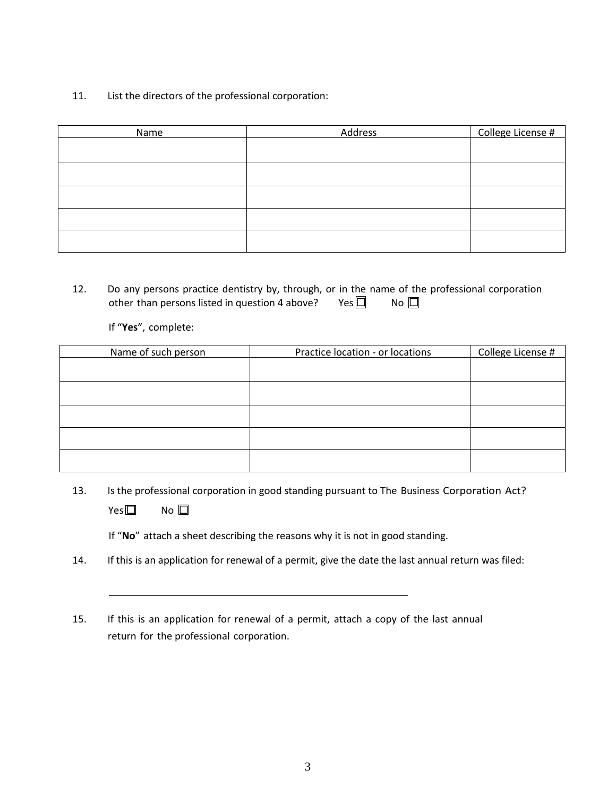11. List the directors of the professional corporation:

| Name | Address | College License # |
|------|---------|-------------------|
|      |         |                   |
|      |         |                   |
|      |         |                   |
|      |         |                   |
|      |         |                   |
|      |         |                   |
|      |         |                   |
|      |         |                   |

12. Do any persons practice dentistry by, through, or in the name of the professional corporation other than persons listed in question 4 above? Yes  $\Box$  No  $\Box$ 

If "**Yes**", complete:

| Name of such person | Practice location - or locations | College License # |
|---------------------|----------------------------------|-------------------|
|                     |                                  |                   |
|                     |                                  |                   |
|                     |                                  |                   |
|                     |                                  |                   |
|                     |                                  |                   |
|                     |                                  |                   |
|                     |                                  |                   |
|                     |                                  |                   |
|                     |                                  |                   |

13. Is the professional corporation in good standing pursuant to The Business Corporation Act?  $Yes \Box$  No  $\Box$ 

If "**No**" attach a sheet describing the reasons why it is not in good standing.

- 14. If this is an application for renewal of a permit, give the date the last annual return was filed:
- 15. If this is an application for renewal of a permit, attach a copy of the last annual return for the professional corporation.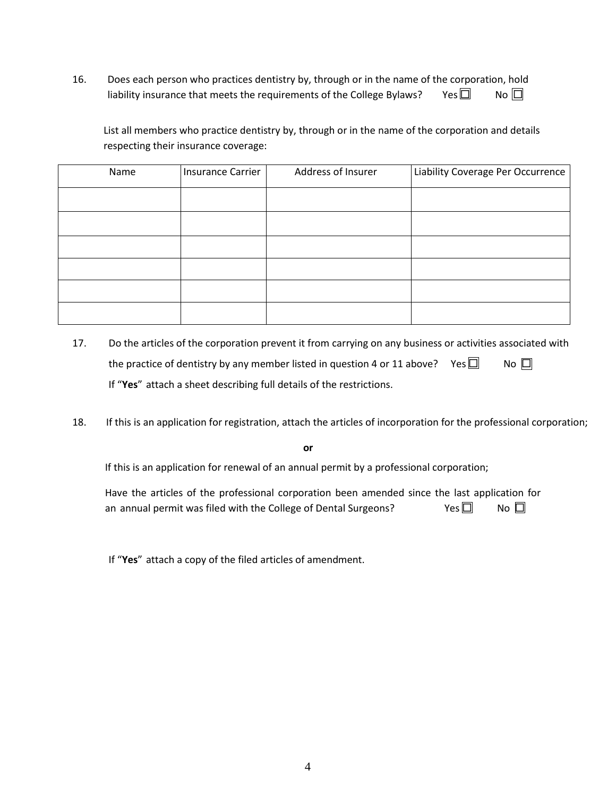16. Does each person who practices dentistry by, through or in the name of the corporation, hold liability insurance that meets the requirements of the College Bylaws? Yes  $\Box$  No  $\Box$ 

List all members who practice dentistry by, through or in the name of the corporation and details respecting their insurance coverage:

| Name | Insurance Carrier | Address of Insurer | Liability Coverage Per Occurrence |
|------|-------------------|--------------------|-----------------------------------|
|      |                   |                    |                                   |
|      |                   |                    |                                   |
|      |                   |                    |                                   |
|      |                   |                    |                                   |
|      |                   |                    |                                   |
|      |                   |                    |                                   |

- 17. Do the articles of the corporation prevent it from carrying on any business or activities associated with the practice of dentistry by any member listed in question 4 or 11 above? Yes  $\square$  No  $\square$ If "**Yes**" attach a sheet describing full details of the restrictions.
- 18. If this is an application for registration, attach the articles of incorporation for the professional corporation;

**or**

If this is an application for renewal of an annual permit by a professional corporation;

 Have the articles of the professional corporation been amended since the last application for an annual permit was filed with the College of Dental Surgeons?  $\Box$  No  $\Box$ 

If "**Yes**" attach a copy of the filed articles of amendment.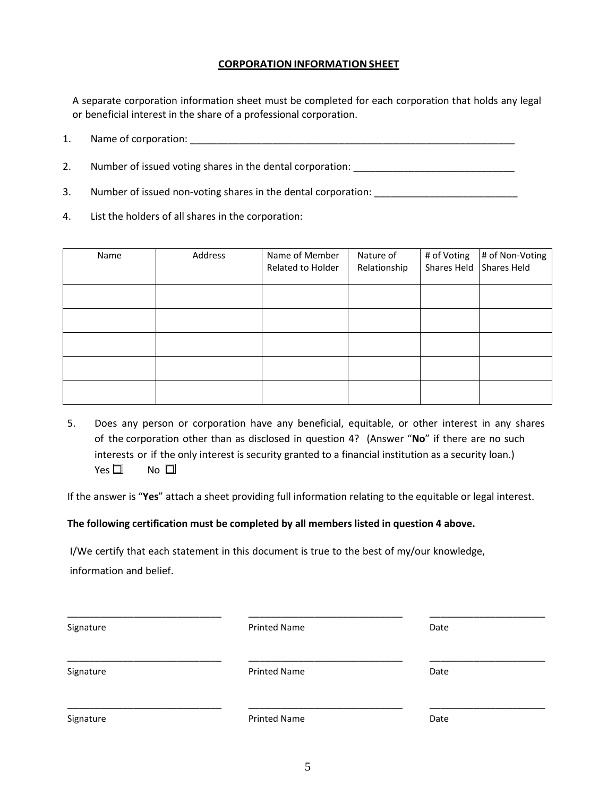### **CORPORATION INFORMATION SHEET**

A separate corporation information sheet must be completed for each corporation that holds any legal or beneficial interest in the share of a professional corporation.

1. Name of corporation: \_\_\_\_\_\_\_\_\_\_\_\_\_\_\_\_\_\_\_\_\_\_\_\_\_\_\_\_\_\_\_\_\_\_\_\_\_\_\_\_\_\_\_\_\_\_\_\_\_\_\_\_\_\_\_\_\_\_\_

2. Number of issued voting shares in the dental corporation:

- 3. Number of issued non-voting shares in the dental corporation: \_\_\_\_\_\_\_\_\_\_\_\_\_\_\_\_\_\_\_\_\_\_
- 4. List the holders of all shares in the corporation:

| Name | Address | Name of Member<br>Related to Holder | Nature of<br>Relationship | # of Voting<br>Shares Held Shares Held | # of Non-Voting |
|------|---------|-------------------------------------|---------------------------|----------------------------------------|-----------------|
|      |         |                                     |                           |                                        |                 |
|      |         |                                     |                           |                                        |                 |
|      |         |                                     |                           |                                        |                 |
|      |         |                                     |                           |                                        |                 |
|      |         |                                     |                           |                                        |                 |

5. Does any person or corporation have any beneficial, equitable, or other interest in any shares of the corporation other than as disclosed in question 4? (Answer "**No**" if there are no such interests or if the only interest is security granted to a financial institution as a security loan.)  $Yes \Box$  No  $\Box$ 

If the answer is "**Yes**" attach a sheet providing full information relating to the equitable or legal interest.

#### **The following certification must be completed by all members listed in question 4 above.**

I/We certify that each statement in this document is true to the best of my/our knowledge,

information and belief.

| Signature | <b>Printed Name</b> | Date |
|-----------|---------------------|------|
| Signature | <b>Printed Name</b> | Date |
| Signature | <b>Printed Name</b> | Date |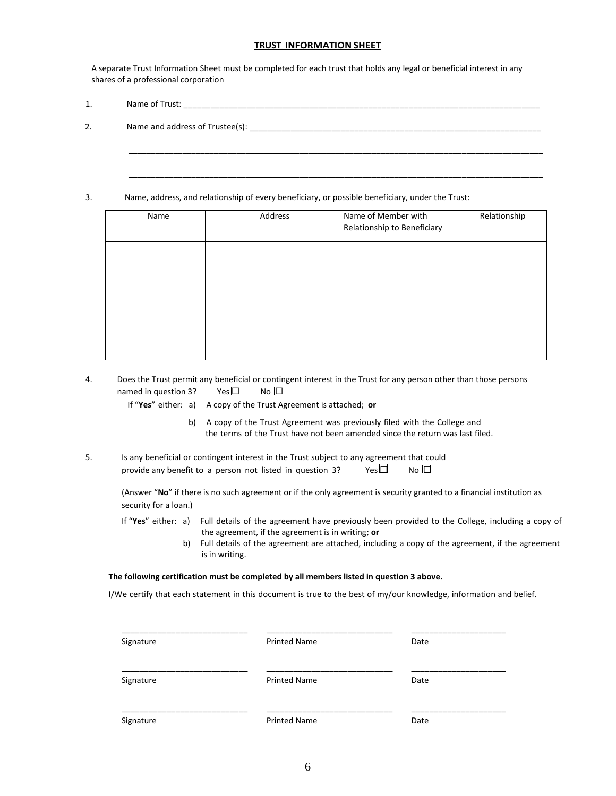#### **TRUST INFORMATIONSHEET**

A separate Trust Information Sheet must be completed for each trust that holds any legal or beneficial interest in any shares of a professional corporation

\_\_\_\_\_\_\_\_\_\_\_\_\_\_\_\_\_\_\_\_\_\_\_\_\_\_\_\_\_\_\_\_\_\_\_\_\_\_\_\_\_\_\_\_\_\_\_\_\_\_\_\_\_\_\_\_\_\_\_\_\_\_\_\_\_\_\_\_\_\_\_\_\_\_\_\_\_\_\_\_\_\_\_\_\_\_\_\_\_\_\_\_

\_\_\_\_\_\_\_\_\_\_\_\_\_\_\_\_\_\_\_\_\_\_\_\_\_\_\_\_\_\_\_\_\_\_\_\_\_\_\_\_\_\_\_\_\_\_\_\_\_\_\_\_\_\_\_\_\_\_\_\_\_\_\_\_\_\_\_\_\_\_\_\_\_\_\_\_\_\_\_\_\_\_\_\_\_\_\_\_\_\_\_\_

1. Name of Trust:

2. Name and address of Trustee(s): \_\_\_\_\_\_\_\_\_\_\_\_\_\_\_\_\_\_\_\_\_\_\_\_\_\_\_\_\_\_\_\_\_\_\_\_\_\_\_\_\_\_\_\_\_\_\_\_\_\_\_\_\_\_\_\_\_\_\_\_\_\_\_\_

3. Name, address, and relationship of every beneficiary, or possible beneficiary, under the Trust:

| Name | Address | Name of Member with<br>Relationship to Beneficiary | Relationship |
|------|---------|----------------------------------------------------|--------------|
|      |         |                                                    |              |
|      |         |                                                    |              |
|      |         |                                                    |              |
|      |         |                                                    |              |
|      |         |                                                    |              |

4. Does the Trust permit any beneficial or contingent interest in the Trust for any person other than those persons named in question 3? Yes  $\Box$  No  $\Box$ 

If "**Yes**" either: a) A copy of the Trust Agreement is attached; **or**

- b) A copy of the Trust Agreement was previously filed with the College and the terms of the Trust have not been amended since the return was last filed.
- 5. Is any beneficial or contingent interest in the Trust subject to any agreement that could provide any benefit to a person not listed in question 3? Yes  $\Box$  No  $\Box$

(Answer "**No**" if there is no such agreement or if the only agreement is security granted to a financial institution as security for a loan.)

- If "**Yes**" either: a) Full details of the agreement have previously been provided to the College, including a copy of the agreement, if the agreement is in writing; **or**
	- b) Full details of the agreement are attached, including a copy of the agreement, if the agreement is in writing.

#### **The following certification must be completed by all members listed in question 3 above.**

I/We certify that each statement in this document is true to the best of my/our knowledge, information and belief.

| Signature | <b>Printed Name</b> | Date |
|-----------|---------------------|------|
| Signature | <b>Printed Name</b> | Date |
| Signature | <b>Printed Name</b> | Date |